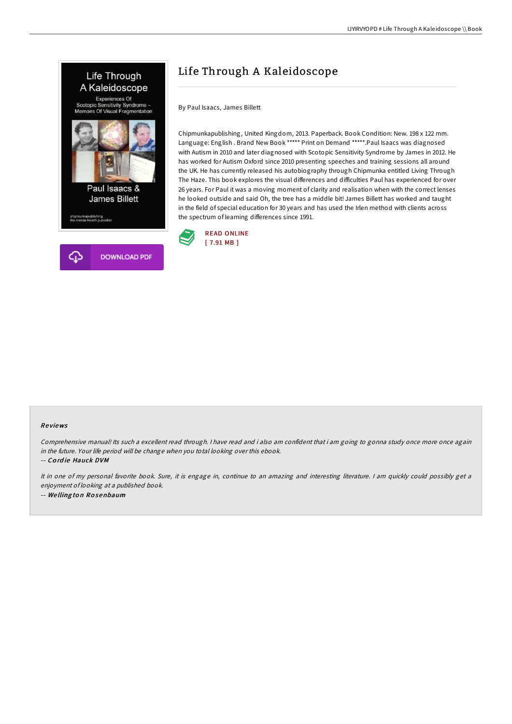

# Life Through A Kaleidoscope

By Paul Isaacs, James Billett

Chipmunkapublishing, United Kingdom, 2013. Paperback. Book Condition: New. 198 x 122 mm. Language: English . Brand New Book \*\*\*\*\* Print on Demand \*\*\*\*\*.Paul Isaacs was diagnosed with Autism in 2010 and later diagnosed with Scotopic Sensitivity Syndrome by James in 2012. He has worked for Autism Oxford since 2010 presenting speeches and training sessions all around the UK. He has currently released his autobiography through Chipmunka entitled Living Through The Haze. This book explores the visual differences and difficulties Paul has experienced for over 26 years. For Paul it was a moving moment of clarity and realisation when with the correct lenses he looked outside and said Oh, the tree has a middle bit! James Billett has worked and taught in the field of special education for 30 years and has used the Irlen method with clients across the spectrum of learning differences since 1991.



#### Re views

Comprehensive manual! Its such <sup>a</sup> excellent read through. <sup>I</sup> have read and i also am confident that i am going to gonna study once more once again in the future. Your life period will be change when you total looking over this ebook.

-- Co rd ie Hauck DVM

It in one of my personal favorite book. Sure, it is engage in, continue to an amazing and interesting literature. <sup>I</sup> am quickly could possibly get <sup>a</sup> enjoyment of looking at <sup>a</sup> published book. -- We lling to <sup>n</sup> Ro senbaum